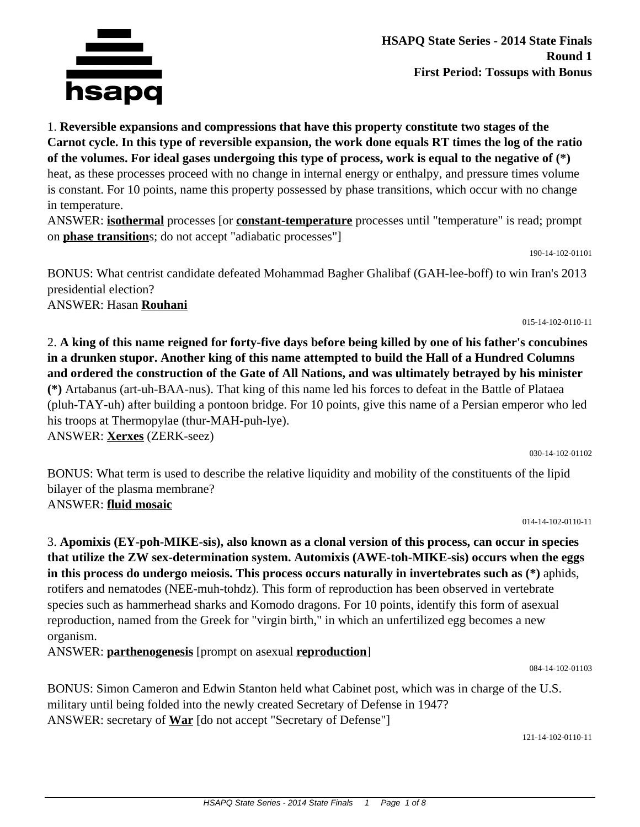

**HSAPQ State Series - 2014 State Finals Round 1 First Period: Tossups with Bonus**

1. **Reversible expansions and compressions that have this property constitute two stages of the Carnot cycle. In this type of reversible expansion, the work done equals RT times the log of the ratio of the volumes. For ideal gases undergoing this type of process, work is equal to the negative of (\*)** heat, as these processes proceed with no change in internal energy or enthalpy, and pressure times volume is constant. For 10 points, name this property possessed by phase transitions, which occur with no change in temperature.

ANSWER: **isothermal** processes [or **constant-temperature** processes until "temperature" is read; prompt on **phase transition**s; do not accept "adiabatic processes"]

190-14-102-01101

BONUS: What centrist candidate defeated Mohammad Bagher Ghalibaf (GAH-lee-boff) to win Iran's 2013 presidential election? ANSWER: Hasan **Rouhani**

015-14-102-0110-11

2. **A king of this name reigned for forty-five days before being killed by one of his father's concubines in a drunken stupor. Another king of this name attempted to build the Hall of a Hundred Columns and ordered the construction of the Gate of All Nations, and was ultimately betrayed by his minister (\*)** Artabanus (art-uh-BAA-nus). That king of this name led his forces to defeat in the Battle of Plataea (pluh-TAY-uh) after building a pontoon bridge. For 10 points, give this name of a Persian emperor who led his troops at Thermopylae (thur-MAH-puh-lye).

ANSWER: **Xerxes** (ZERK-seez)

030-14-102-01102

BONUS: What term is used to describe the relative liquidity and mobility of the constituents of the lipid bilayer of the plasma membrane? ANSWER: **fluid mosaic**

014-14-102-0110-11

3. **Apomixis (EY-poh-MIKE-sis), also known as a clonal version of this process, can occur in species that utilize the ZW sex-determination system. Automixis (AWE-toh-MIKE-sis) occurs when the eggs in this process do undergo meiosis. This process occurs naturally in invertebrates such as (\*)** aphids, rotifers and nematodes (NEE-muh-tohdz). This form of reproduction has been observed in vertebrate species such as hammerhead sharks and Komodo dragons. For 10 points, identify this form of asexual reproduction, named from the Greek for "virgin birth," in which an unfertilized egg becomes a new organism.

ANSWER: **parthenogenesis** [prompt on asexual **reproduction**]

084-14-102-01103

BONUS: Simon Cameron and Edwin Stanton held what Cabinet post, which was in charge of the U.S. military until being folded into the newly created Secretary of Defense in 1947? ANSWER: secretary of **War** [do not accept "Secretary of Defense"]

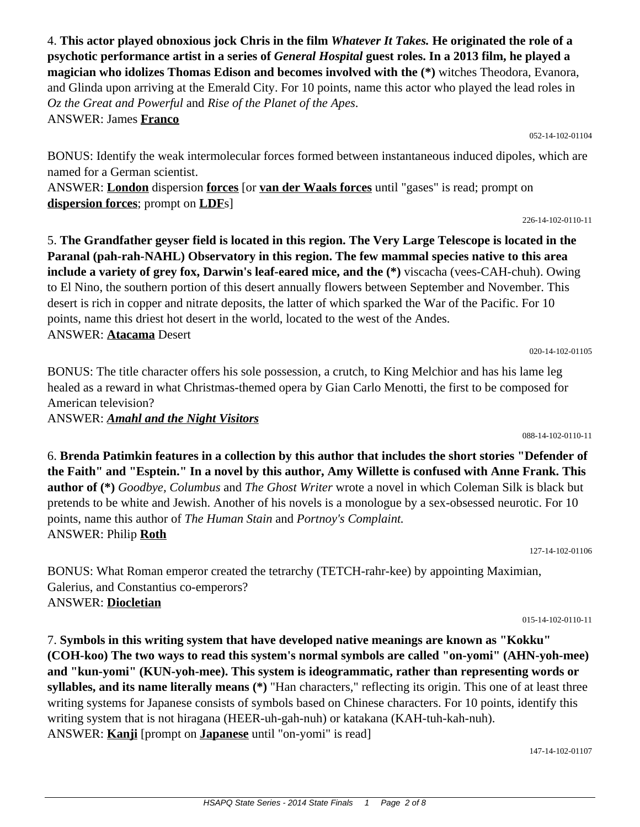4. **This actor played obnoxious jock Chris in the film** *Whatever It Takes.* **He originated the role of a psychotic performance artist in a series of** *General Hospital* **guest roles. In a 2013 film, he played a magician who idolizes Thomas Edison and becomes involved with the (\*)** witches Theodora, Evanora, and Glinda upon arriving at the Emerald City. For 10 points, name this actor who played the lead roles in *Oz the Great and Powerful* and *Rise of the Planet of the Apes*. ANSWER: James **Franco**

BONUS: Identify the weak intermolecular forces formed between instantaneous induced dipoles, which are named for a German scientist.

ANSWER: **London** dispersion **forces** [or **van der Waals forces** until "gases" is read; prompt on **dispersion forces**; prompt on **LDF**s]

5. **The Grandfather geyser field is located in this region. The Very Large Telescope is located in the Paranal (pah-rah-NAHL) Observatory in this region. The few mammal species native to this area include a variety of grey fox, Darwin's leaf-eared mice, and the (\*)** viscacha (vees-CAH-chuh). Owing to El Nino, the southern portion of this desert annually flowers between September and November. This desert is rich in copper and nitrate deposits, the latter of which sparked the War of the Pacific. For 10 points, name this driest hot desert in the world, located to the west of the Andes. ANSWER: **Atacama** Desert

BONUS: The title character offers his sole possession, a crutch, to King Melchior and has his lame leg healed as a reward in what Christmas-themed opera by Gian Carlo Menotti, the first to be composed for American television?

ANSWER: *Amahl and the Night Visitors*

6. **Brenda Patimkin features in a collection by this author that includes the short stories "Defender of the Faith" and "Esptein." In a novel by this author, Amy Willette is confused with Anne Frank. This author of (\*)** *Goodbye, Columbus* and *The Ghost Writer* wrote a novel in which Coleman Silk is black but pretends to be white and Jewish. Another of his novels is a monologue by a sex-obsessed neurotic. For 10 points, name this author of *The Human Stain* and *Portnoy's Complaint.* ANSWER: Philip **Roth**

BONUS: What Roman emperor created the tetrarchy (TETCH-rahr-kee) by appointing Maximian, Galerius, and Constantius co-emperors? ANSWER: **Diocletian**

7. **Symbols in this writing system that have developed native meanings are known as "Kokku" (COH-koo) The two ways to read this system's normal symbols are called "on-yomi" (AHN-yoh-mee) and "kun-yomi" (KUN-yoh-mee). This system is ideogrammatic, rather than representing words or syllables, and its name literally means (\*)** "Han characters," reflecting its origin. This one of at least three writing systems for Japanese consists of symbols based on Chinese characters. For 10 points, identify this writing system that is not hiragana (HEER-uh-gah-nuh) or katakana (KAH-tuh-kah-nuh). ANSWER: **Kanji** [prompt on **Japanese** until "on-yomi" is read]

147-14-102-01107

## 088-14-102-0110-11

052-14-102-01104

226-14-102-0110-11

020-14-102-01105

015-14-102-0110-11

127-14-102-01106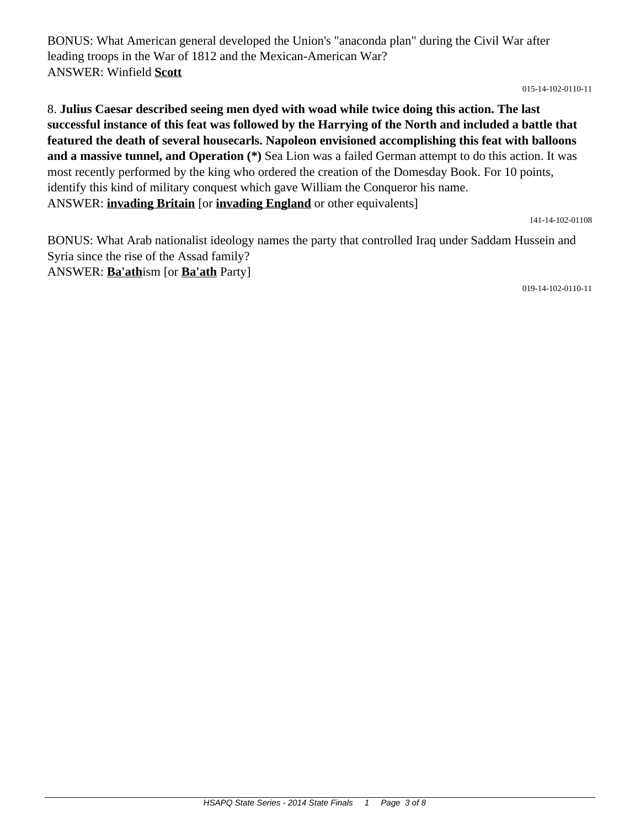BONUS: What American general developed the Union's "anaconda plan" during the Civil War after leading troops in the War of 1812 and the Mexican-American War? ANSWER: Winfield **Scott**

015-14-102-0110-11

8. **Julius Caesar described seeing men dyed with woad while twice doing this action. The last successful instance of this feat was followed by the Harrying of the North and included a battle that featured the death of several housecarls. Napoleon envisioned accomplishing this feat with balloons and a massive tunnel, and Operation (\*)** Sea Lion was a failed German attempt to do this action. It was most recently performed by the king who ordered the creation of the Domesday Book. For 10 points, identify this kind of military conquest which gave William the Conqueror his name. ANSWER: **invading Britain** [or **invading England** or other equivalents]

141-14-102-01108

BONUS: What Arab nationalist ideology names the party that controlled Iraq under Saddam Hussein and Syria since the rise of the Assad family? ANSWER: **Ba'ath**ism [or **Ba'ath** Party]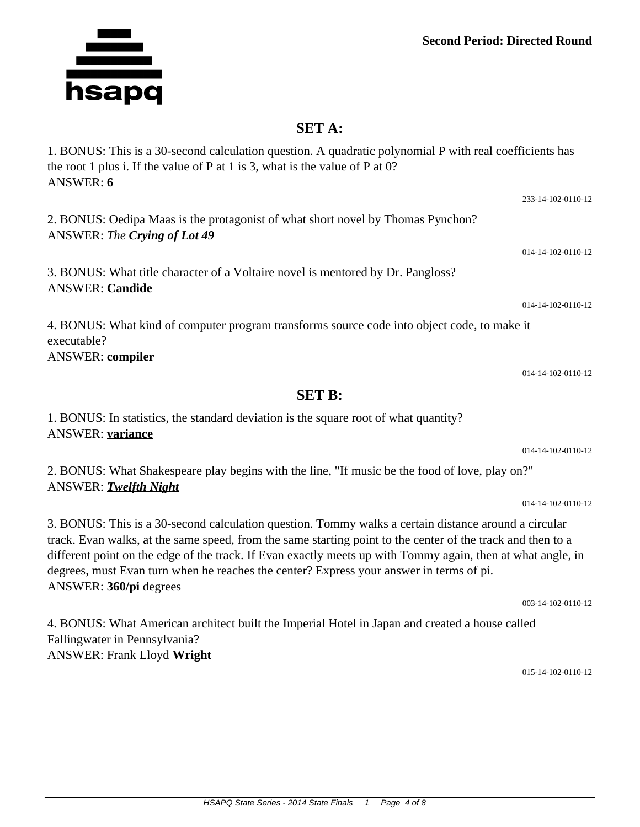## **SET A:**

1. BONUS: This is a 30-second calculation question. A quadratic polynomial P with real coefficients has

## the root 1 plus i. If the value of P at 1 is 3, what is the value of P at 0? ANSWER: **6** 2. BONUS: Oedipa Maas is the protagonist of what short novel by Thomas Pynchon? ANSWER: *The Crying of Lot 49* 014-14-102-0110-12 3. BONUS: What title character of a Voltaire novel is mentored by Dr. Pangloss? ANSWER: **Candide** 014-14-102-0110-12 4. BONUS: What kind of computer program transforms source code into object code, to make it executable?

ANSWER: **compiler**

1. BONUS: In statistics, the standard deviation is the square root of what quantity? ANSWER: **variance**

2. BONUS: What Shakespeare play begins with the line, "If music be the food of love, play on?" ANSWER: *Twelfth Night*

3. BONUS: This is a 30-second calculation question. Tommy walks a certain distance around a circular track. Evan walks, at the same speed, from the same starting point to the center of the track and then to a different point on the edge of the track. If Evan exactly meets up with Tommy again, then at what angle, in degrees, must Evan turn when he reaches the center? Express your answer in terms of pi. ANSWER: **360/pi** degrees

**SET B:**

003-14-102-0110-12

4. BONUS: What American architect built the Imperial Hotel in Japan and created a house called Fallingwater in Pennsylvania? ANSWER: Frank Lloyd **Wright**

015-14-102-0110-12

014-14-102-0110-12

014-14-102-0110-12

014-14-102-0110-12

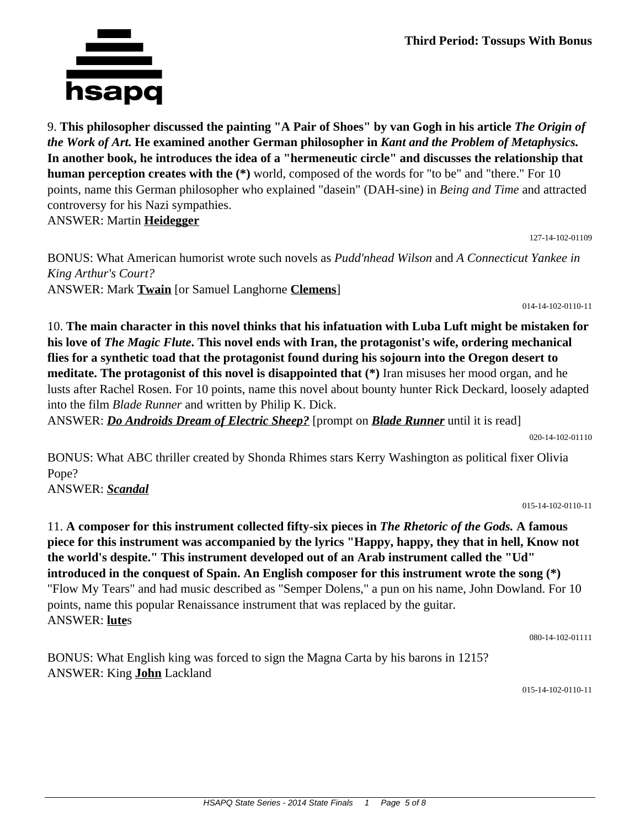9. **This philosopher discussed the painting "A Pair of Shoes" by van Gogh in his article** *The Origin of the Work of Art.* **He examined another German philosopher in** *Kant and the Problem of Metaphysics.* **In another book, he introduces the idea of a "hermeneutic circle" and discusses the relationship that human perception creates with the (\*)** world, composed of the words for "to be" and "there." For 10 points, name this German philosopher who explained "dasein" (DAH-sine) in *Being and Time* and attracted controversy for his Nazi sympathies.

ANSWER: Martin **Heidegger**

127-14-102-01109

BONUS: What American humorist wrote such novels as *Pudd'nhead Wilson* and *A Connecticut Yankee in King Arthur's Court?* ANSWER: Mark **Twain** [or Samuel Langhorne **Clemens**]

014-14-102-0110-11

10. **The main character in this novel thinks that his infatuation with Luba Luft might be mistaken for his love of** *The Magic Flute***. This novel ends with Iran, the protagonist's wife, ordering mechanical flies for a synthetic toad that the protagonist found during his sojourn into the Oregon desert to meditate. The protagonist of this novel is disappointed that (\*)** Iran misuses her mood organ, and he lusts after Rachel Rosen. For 10 points, name this novel about bounty hunter Rick Deckard, loosely adapted into the film *Blade Runner* and written by Philip K. Dick.

ANSWER: *Do Androids Dream of Electric Sheep?* [prompt on *Blade Runner* until it is read]

020-14-102-01110

BONUS: What ABC thriller created by Shonda Rhimes stars Kerry Washington as political fixer Olivia Pope?

ANSWER: *Scandal*

015-14-102-0110-11

11. **A composer for this instrument collected fifty-six pieces in** *The Rhetoric of the Gods.* **A famous piece for this instrument was accompanied by the lyrics "Happy, happy, they that in hell, Know not the world's despite." This instrument developed out of an Arab instrument called the "Ud" introduced in the conquest of Spain. An English composer for this instrument wrote the song (\*)** "Flow My Tears" and had music described as "Semper Dolens," a pun on his name, John Dowland. For 10 points, name this popular Renaissance instrument that was replaced by the guitar. ANSWER: **lute**s

080-14-102-01111

BONUS: What English king was forced to sign the Magna Carta by his barons in 1215? ANSWER: King **John** Lackland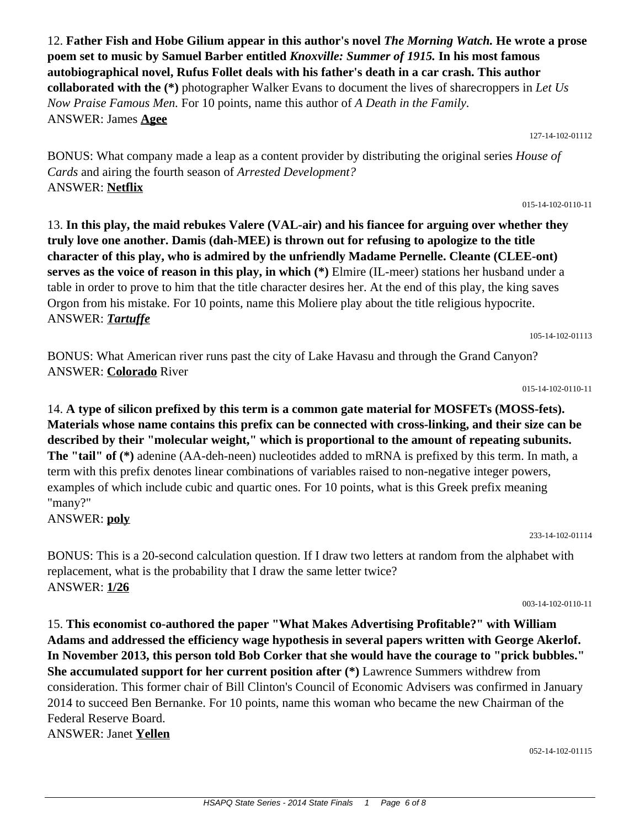12. **Father Fish and Hobe Gilium appear in this author's novel** *The Morning Watch.* **He wrote a prose poem set to music by Samuel Barber entitled** *Knoxville: Summer of 1915.* **In his most famous autobiographical novel, Rufus Follet deals with his father's death in a car crash. This author collaborated with the (\*)** photographer Walker Evans to document the lives of sharecroppers in *Let Us Now Praise Famous Men.* For 10 points, name this author of *A Death in the Family.* ANSWER: James **Agee**

BONUS: What company made a leap as a content provider by distributing the original series *House of Cards* and airing the fourth season of *Arrested Development?* ANSWER: **Netflix**

13. **In this play, the maid rebukes Valere (VAL-air) and his fiancee for arguing over whether they truly love one another. Damis (dah-MEE) is thrown out for refusing to apologize to the title character of this play, who is admired by the unfriendly Madame Pernelle. Cleante (CLEE-ont) serves as the voice of reason in this play, in which (\*)** Elmire (IL-meer) stations her husband under a table in order to prove to him that the title character desires her. At the end of this play, the king saves Orgon from his mistake. For 10 points, name this Moliere play about the title religious hypocrite. ANSWER: *Tartuffe*

BONUS: What American river runs past the city of Lake Havasu and through the Grand Canyon? ANSWER: **Colorado** River

015-14-102-0110-11

14. **A type of silicon prefixed by this term is a common gate material for MOSFETs (MOSS-fets). Materials whose name contains this prefix can be connected with cross-linking, and their size can be described by their "molecular weight," which is proportional to the amount of repeating subunits. The "tail" of (\*)** adenine (AA-deh-neen) nucleotides added to mRNA is prefixed by this term. In math, a term with this prefix denotes linear combinations of variables raised to non-negative integer powers, examples of which include cubic and quartic ones. For 10 points, what is this Greek prefix meaning "many?"

ANSWER: **poly**

BONUS: This is a 20-second calculation question. If I draw two letters at random from the alphabet with replacement, what is the probability that I draw the same letter twice? ANSWER: **1/26**

15. **This economist co-authored the paper "What Makes Advertising Profitable?" with William Adams and addressed the efficiency wage hypothesis in several papers written with George Akerlof. In November 2013, this person told Bob Corker that she would have the courage to "prick bubbles." She accumulated support for her current position after (\*)** Lawrence Summers withdrew from consideration. This former chair of Bill Clinton's Council of Economic Advisers was confirmed in January 2014 to succeed Ben Bernanke. For 10 points, name this woman who became the new Chairman of the Federal Reserve Board. ANSWER: Janet **Yellen**

052-14-102-01115

105-14-102-01113

233-14-102-01114

003-14-102-0110-11

015-14-102-0110-11

127-14-102-01112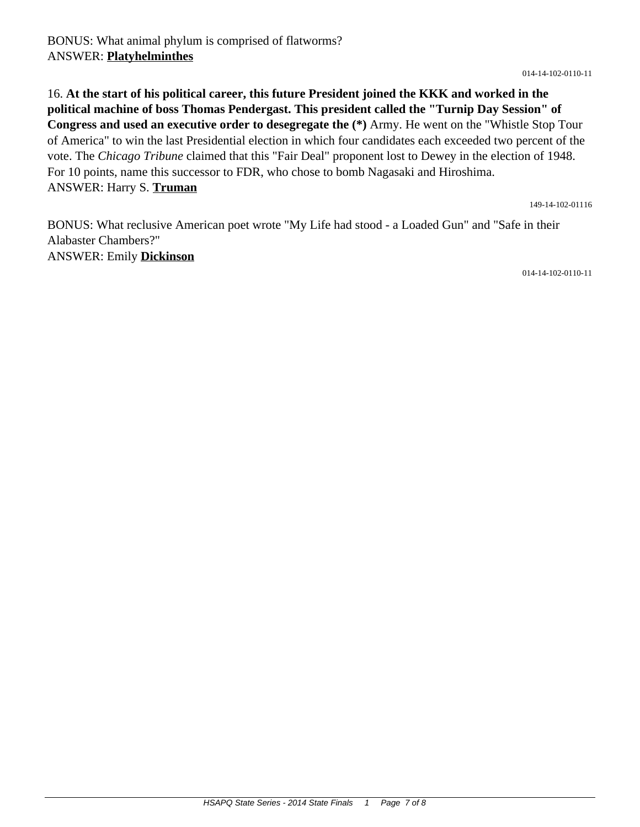## 16. **At the start of his political career, this future President joined the KKK and worked in the political machine of boss Thomas Pendergast. This president called the "Turnip Day Session" of Congress and used an executive order to desegregate the (\*)** Army. He went on the "Whistle Stop Tour of America" to win the last Presidential election in which four candidates each exceeded two percent of the vote. The *Chicago Tribune* claimed that this "Fair Deal" proponent lost to Dewey in the election of 1948. For 10 points, name this successor to FDR, who chose to bomb Nagasaki and Hiroshima. ANSWER: Harry S. **Truman**

149-14-102-01116

BONUS: What reclusive American poet wrote "My Life had stood - a Loaded Gun" and "Safe in their Alabaster Chambers?" ANSWER: Emily **Dickinson**